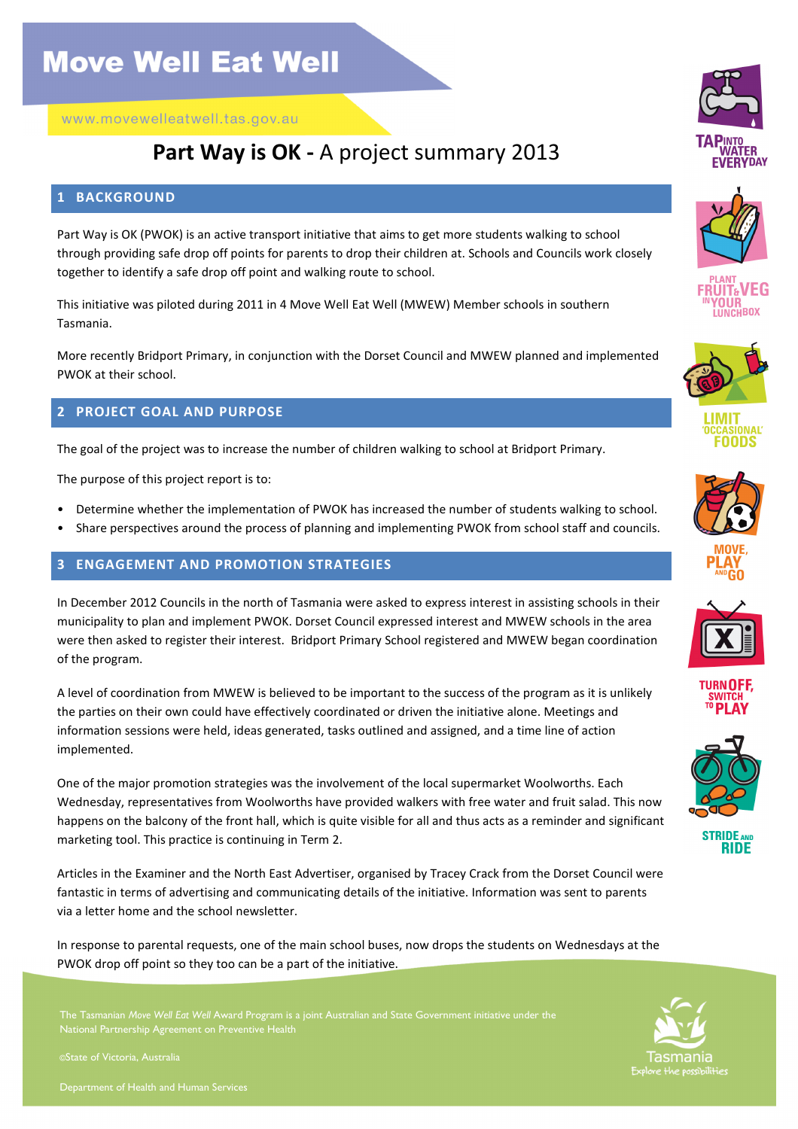www.movewelleatwell.tas.gov.au

### Part Way is OK - A project summary 2013

#### 1 BACKGROUND

Part Way is OK (PWOK) is an active transport initiative that aims to get more students walking to school through providing safe drop off points for parents to drop their children at. Schools and Councils work closely together to identify a safe drop off point and walking route to school.

This initiative was piloted during 2011 in 4 Move Well Eat Well (MWEW) Member schools in southern Tasmania.

More recently Bridport Primary, in conjunction with the Dorset Council and MWEW planned and implemented PWOK at their school.

#### 2 PROJECT GOAL AND PURPOSE

The goal of the project was to increase the number of children walking to school at Bridport Primary.

The purpose of this project report is to:

- Determine whether the implementation of PWOK has increased the number of students walking to school.
- Share perspectives around the process of planning and implementing PWOK from school staff and councils.

#### 3 ENGAGEMENT AND PROMOTION STRATEGIES

In December 2012 Councils in the north of Tasmania were asked to express interest in assisting schools in their municipality to plan and implement PWOK. Dorset Council expressed interest and MWEW schools in the area were then asked to register their interest. Bridport Primary School registered and MWEW began coordination of the program.

A level of coordination from MWEW is believed to be important to the success of the program as it is unlikely the parties on their own could have effectively coordinated or driven the initiative alone. Meetings and information sessions were held, ideas generated, tasks outlined and assigned, and a time line of action implemented.

One of the major promotion strategies was the involvement of the local supermarket Woolworths. Each Wednesday, representatives from Woolworths have provided walkers with free water and fruit salad. This now happens on the balcony of the front hall, which is quite visible for all and thus acts as a reminder and significant marketing tool. This practice is continuing in Term 2.

Articles in the Examiner and the North East Advertiser, organised by Tracey Crack from the Dorset Council were fantastic in terms of advertising and communicating details of the initiative. Information was sent to parents via a letter home and the school newsletter.

In response to parental requests, one of the main school buses, now drops the students on Wednesdays at the PWOK drop off point so they too can be a part of the initiative.

The Tasmanian Move Well Eat Well Award Program is a joint Australian and State Government initiative under the National Partnership Agreement on Preventive

©State of Victoria, Australia























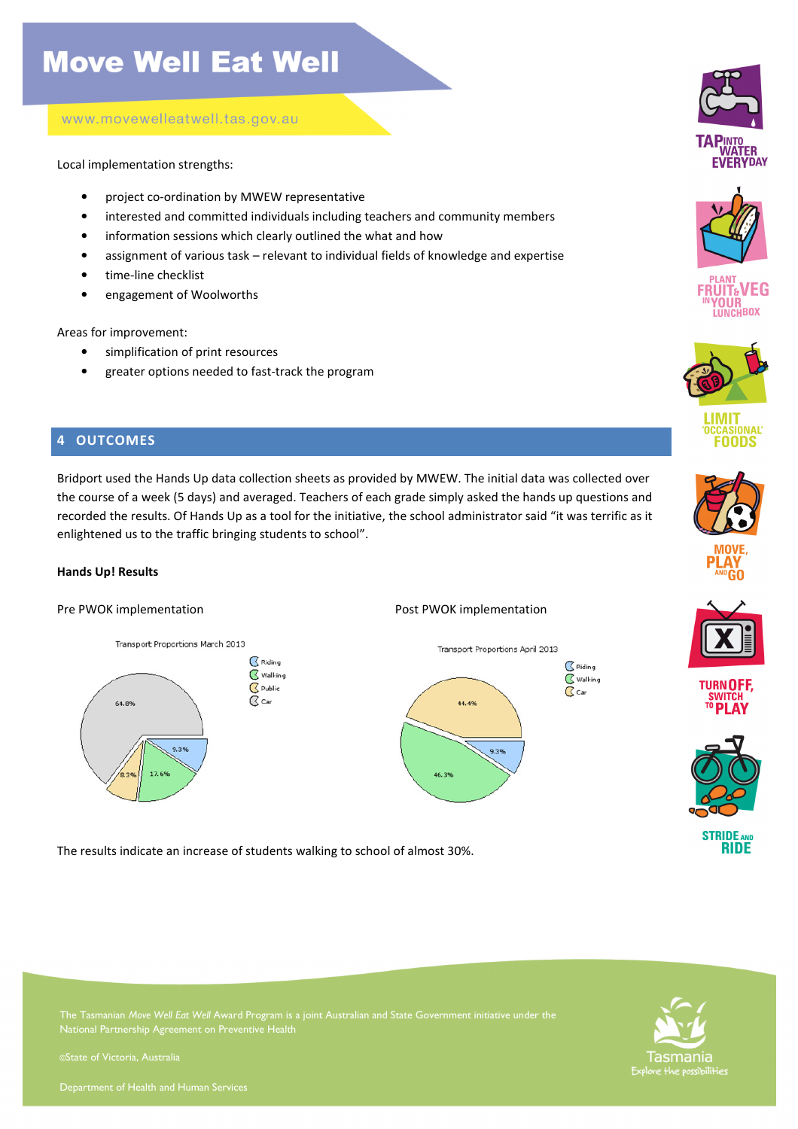www.movewelleatwell.tas.gov.au

Local implementation strengths:

- project co-ordination by MWEW representative
- interested and committed individuals including teachers and community members
- information sessions which clearly outlined the what and how
- assignment of various task relevant to individual fields of knowledge and expertise
- time-line checklist
- engagement of Woolworths

Areas for improvement:

- simplification of print resources
- greater options needed to fast-track the program

### 4 OUTCOMES

Bridport used the Hands Up data collection sheets as provided by MWEW. The initial data was collected over the course of a week (5 days) and averaged. Teachers of each grade simply asked the hands up questions and recorded the results. Of Hands Up as a tool for the initiative, the school administrator said "it was terrific as it enlightened us to the traffic bringing students to school".

### Hands Up! Results

#### Pre PWOK implementation example the PWOK implementation and Post PWOK implementation





The results indicate an increase of students walking to school of almost 30%.









LIMIT **CCASIONAL** FOODS







**TURNOFF SWITCH** 





The Tasmanian Move Well Eat Well Award Program is a joint Australian and State Government initiative under the



i

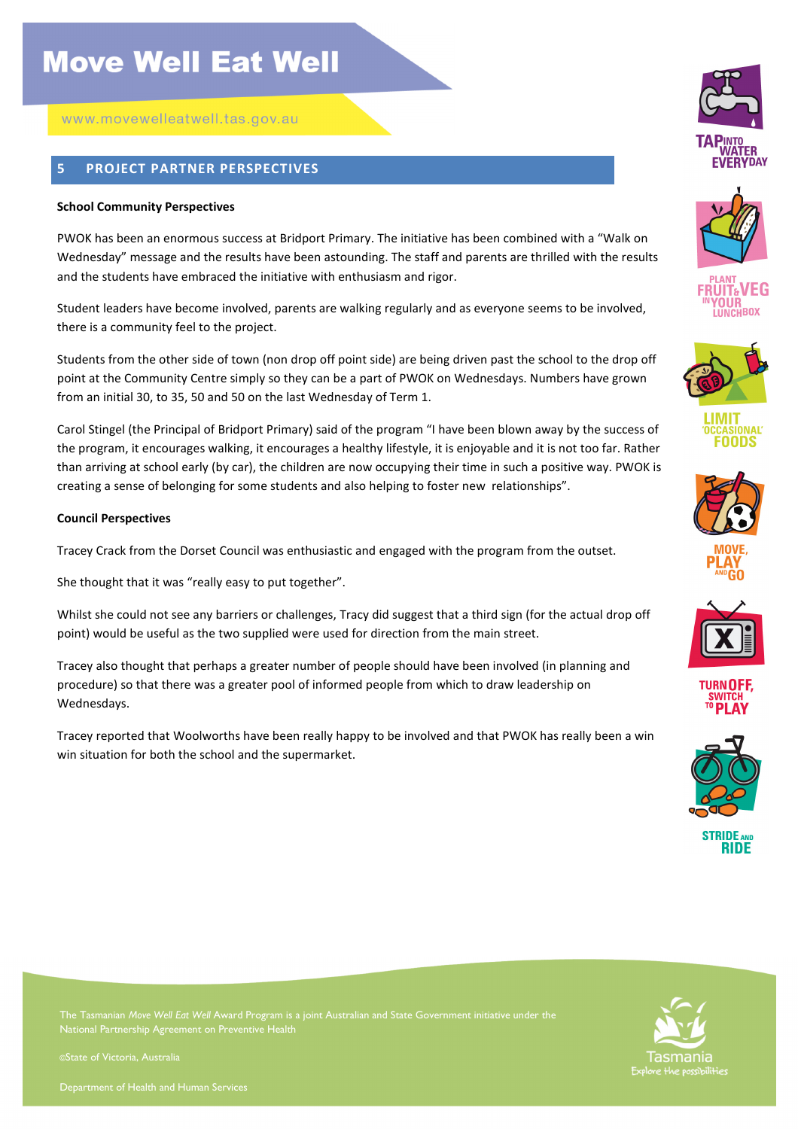www.movewelleatwell.tas.gov.au

### 5 PROJECT PARTNER PERSPECTIVES

#### School Community Perspectives

PWOK has been an enormous success at Bridport Primary. The initiative has been combined with a "Walk on Wednesday" message and the results have been astounding. The staff and parents are thrilled with the results and the students have embraced the initiative with enthusiasm and rigor.

Student leaders have become involved, parents are walking regularly and as everyone seems to be involved, there is a community feel to the project.

Students from the other side of town (non drop off point side) are being driven past the school to the drop off point at the Community Centre simply so they can be a part of PWOK on Wednesdays. Numbers have grown from an initial 30, to 35, 50 and 50 on the last Wednesday of Term 1.

Carol Stingel (the Principal of Bridport Primary) said of the program "I have been blown away by the success of the program, it encourages walking, it encourages a healthy lifestyle, it is enjoyable and it is not too far. Rather than arriving at school early (by car), the children are now occupying their time in such a positive way. PWOK is creating a sense of belonging for some students and also helping to foster new relationships".

#### Council Perspectives

Tracey Crack from the Dorset Council was enthusiastic and engaged with the program from the outset.

She thought that it was "really easy to put together".

Whilst she could not see any barriers or challenges, Tracy did suggest that a third sign (for the actual drop off point) would be useful as the two supplied were used for direction from the main street.

Tracey also thought that perhaps a greater number of people should have been involved (in planning and procedure) so that there was a greater pool of informed people from which to draw leadership on Wednesdays.

Tracey reported that Woolworths have been really happy to be involved and that PWOK has really been a win win situation for both the school and the supermarket.























Tasmania

The Tasmanian Move Well Eat Well Award Program is a joint Australian and State Government initiative under the National Partnership Agreement on Preventive

©State of Victoria, Australia